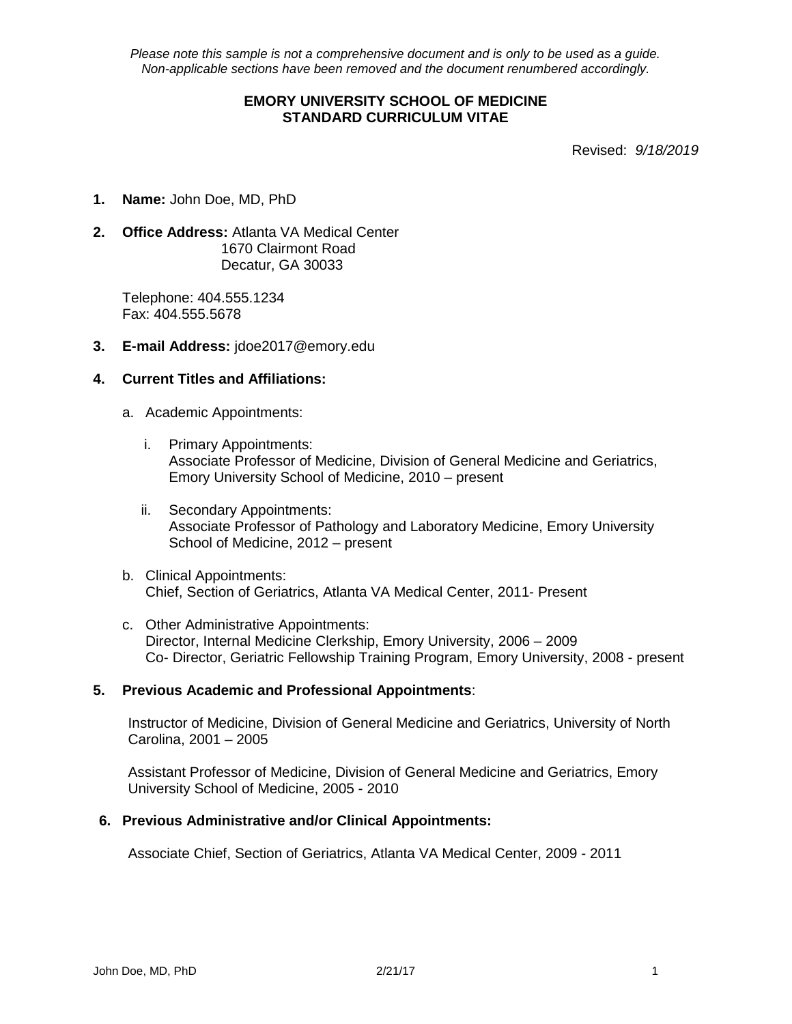## **EMORY UNIVERSITY SCHOOL OF MEDICINE STANDARD CURRICULUM VITAE**

Revised: *9/18/2019*

- **1. Name:** John Doe, MD, PhD
- **2. Office Address:** Atlanta VA Medical Center 1670 Clairmont Road Decatur, GA 30033

Telephone: 404.555.1234 Fax: 404.555.5678

**3. E-mail Address:** jdoe2017@emory.edu

### **4. Current Titles and Affiliations:**

- a. Academic Appointments:
	- i. Primary Appointments: Associate Professor of Medicine, Division of General Medicine and Geriatrics, Emory University School of Medicine, 2010 – present
	- ii. Secondary Appointments: Associate Professor of Pathology and Laboratory Medicine, Emory University School of Medicine, 2012 – present
- b. Clinical Appointments: Chief, Section of Geriatrics, Atlanta VA Medical Center, 2011- Present
- c. Other Administrative Appointments: Director, Internal Medicine Clerkship, Emory University, 2006 – 2009 Co- Director, Geriatric Fellowship Training Program, Emory University, 2008 - present

### **5. Previous Academic and Professional Appointments**:

Instructor of Medicine, Division of General Medicine and Geriatrics, University of North Carolina, 2001 – 2005

Assistant Professor of Medicine, Division of General Medicine and Geriatrics, Emory University School of Medicine, 2005 - 2010

### **6. Previous Administrative and/or Clinical Appointments:**

Associate Chief, Section of Geriatrics, Atlanta VA Medical Center, 2009 - 2011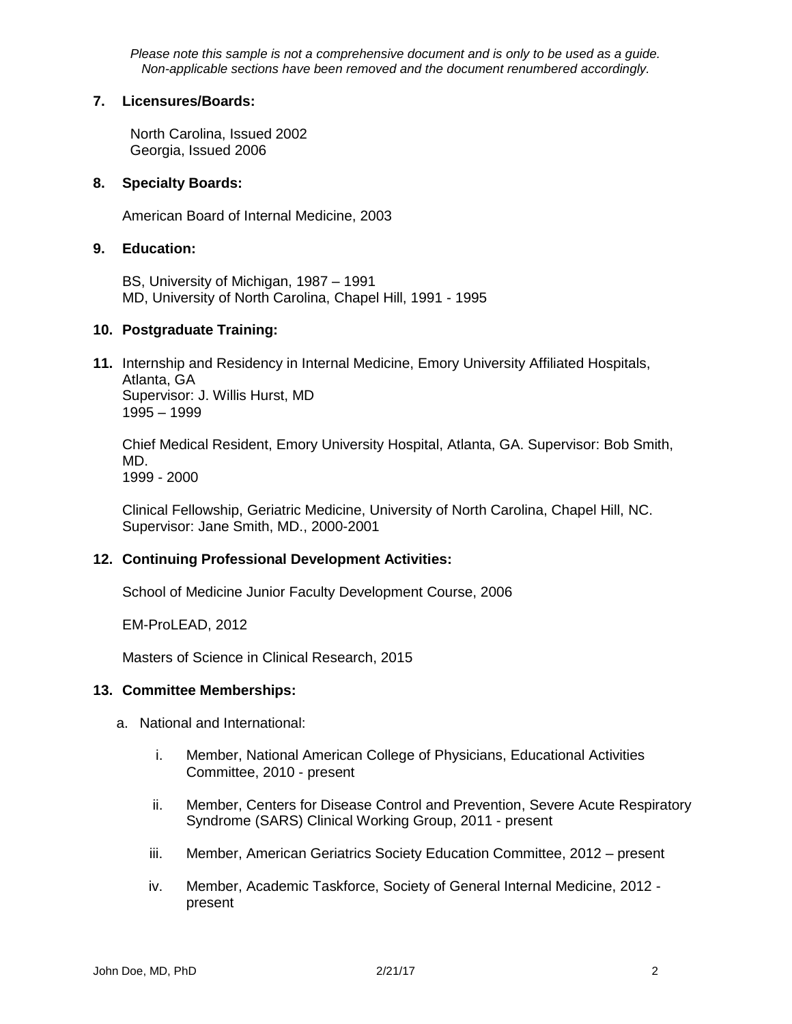### **7. Licensures/Boards:**

 North Carolina, Issued 2002 Georgia, Issued 2006

# **8. Specialty Boards:**

American Board of Internal Medicine, 2003

## **9. Education:**

BS, University of Michigan, 1987 – 1991 MD, University of North Carolina, Chapel Hill, 1991 - 1995

# **10. Postgraduate Training:**

**11.** Internship and Residency in Internal Medicine, Emory University Affiliated Hospitals, Atlanta, GA Supervisor: J. Willis Hurst, MD 1995 – 1999

Chief Medical Resident, Emory University Hospital, Atlanta, GA. Supervisor: Bob Smith, MD.

1999 - 2000

Clinical Fellowship, Geriatric Medicine, University of North Carolina, Chapel Hill, NC. Supervisor: Jane Smith, MD., 2000-2001

# **12. Continuing Professional Development Activities:**

School of Medicine Junior Faculty Development Course, 2006

EM-ProLEAD, 2012

Masters of Science in Clinical Research, 2015

### **13. Committee Memberships:**

- a. National and International:
	- i. Member, National American College of Physicians, Educational Activities Committee, 2010 - present
	- ii. Member, Centers for Disease Control and Prevention, Severe Acute Respiratory Syndrome (SARS) Clinical Working Group, 2011 - present
	- iii. Member, American Geriatrics Society Education Committee, 2012 present
	- iv. Member, Academic Taskforce, Society of General Internal Medicine, 2012 present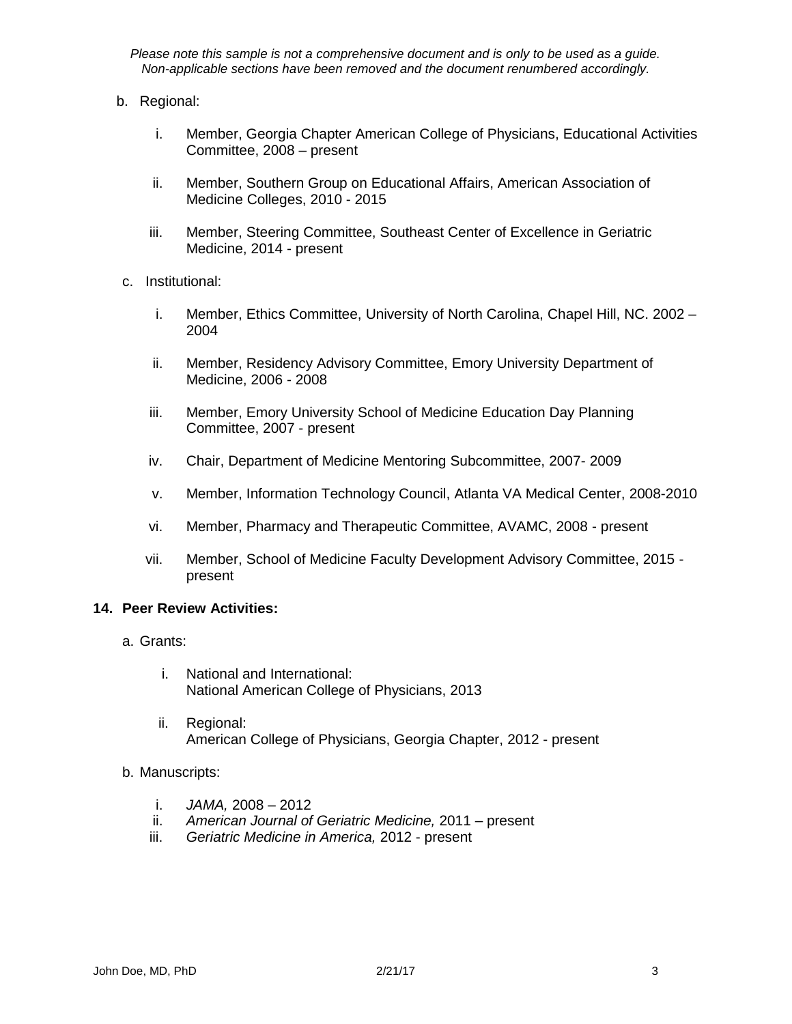- b. Regional:
	- i. Member, Georgia Chapter American College of Physicians, Educational Activities Committee, 2008 – present
	- ii. Member, Southern Group on Educational Affairs, American Association of Medicine Colleges, 2010 - 2015
	- iii. Member, Steering Committee, Southeast Center of Excellence in Geriatric Medicine, 2014 - present
- c. Institutional:
	- i. Member, Ethics Committee, University of North Carolina, Chapel Hill, NC. 2002 2004
	- ii. Member, Residency Advisory Committee, Emory University Department of Medicine, 2006 - 2008
	- iii. Member, Emory University School of Medicine Education Day Planning Committee, 2007 - present
	- iv. Chair, Department of Medicine Mentoring Subcommittee, 2007- 2009
	- v. Member, Information Technology Council, Atlanta VA Medical Center, 2008-2010
	- vi. Member, Pharmacy and Therapeutic Committee, AVAMC, 2008 present
	- vii. Member, School of Medicine Faculty Development Advisory Committee, 2015 present

### **14. Peer Review Activities:**

- a. Grants:
	- i. National and International: National American College of Physicians, 2013
	- ii. Regional: American College of Physicians, Georgia Chapter, 2012 - present
- b. Manuscripts:
	- i. *JAMA,* 2008 2012
	- ii. *American Journal of Geriatric Medicine,* 2011 present
	- iii. *Geriatric Medicine in America,* 2012 present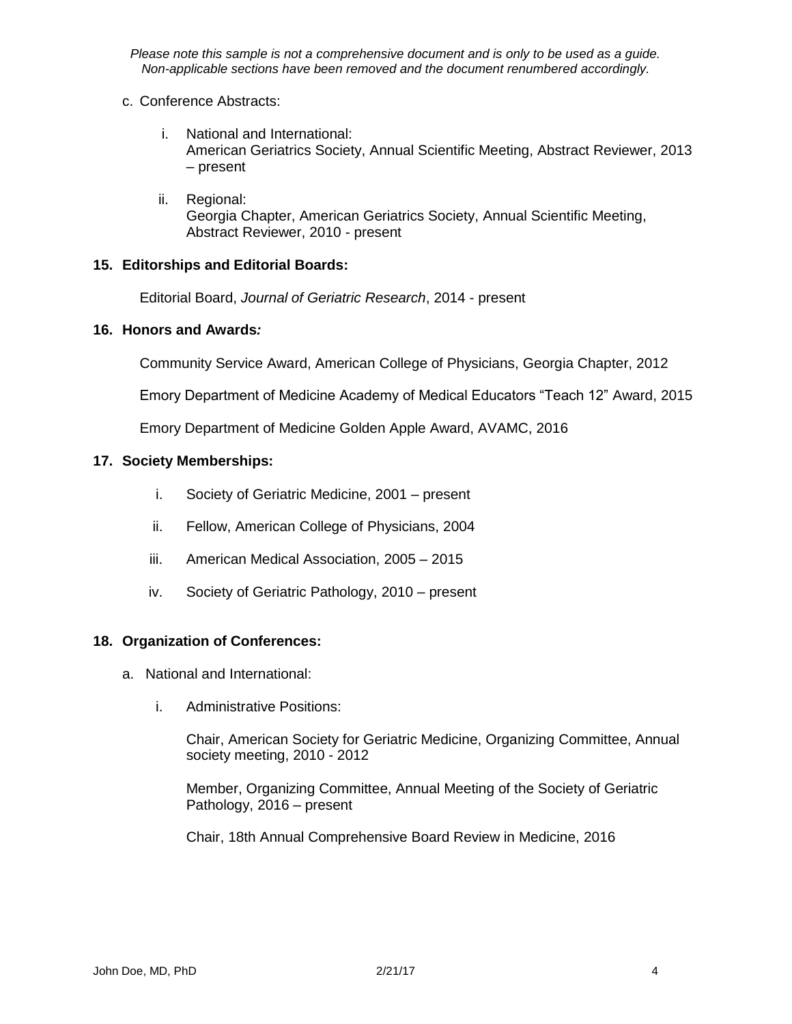### c. Conference Abstracts:

- i. National and International: American Geriatrics Society, Annual Scientific Meeting, Abstract Reviewer, 2013 – present
- ii. Regional: Georgia Chapter, American Geriatrics Society, Annual Scientific Meeting, Abstract Reviewer, 2010 - present

# **15. Editorships and Editorial Boards:**

Editorial Board, *Journal of Geriatric Research*, 2014 - present

### **16. Honors and Awards***:*

Community Service Award, American College of Physicians, Georgia Chapter, 2012

Emory Department of Medicine Academy of Medical Educators "Teach 12" Award, 2015

Emory Department of Medicine Golden Apple Award, AVAMC, 2016

# **17. Society Memberships:**

- i. Society of Geriatric Medicine, 2001 present
- ii. Fellow, American College of Physicians, 2004
- iii. American Medical Association, 2005 2015
- iv. Society of Geriatric Pathology, 2010 present

### **18. Organization of Conferences:**

- a. National and International:
	- i. Administrative Positions:

Chair, American Society for Geriatric Medicine, Organizing Committee, Annual society meeting, 2010 - 2012

Member, Organizing Committee, Annual Meeting of the Society of Geriatric Pathology, 2016 – present

Chair, 18th Annual Comprehensive Board Review in Medicine, 2016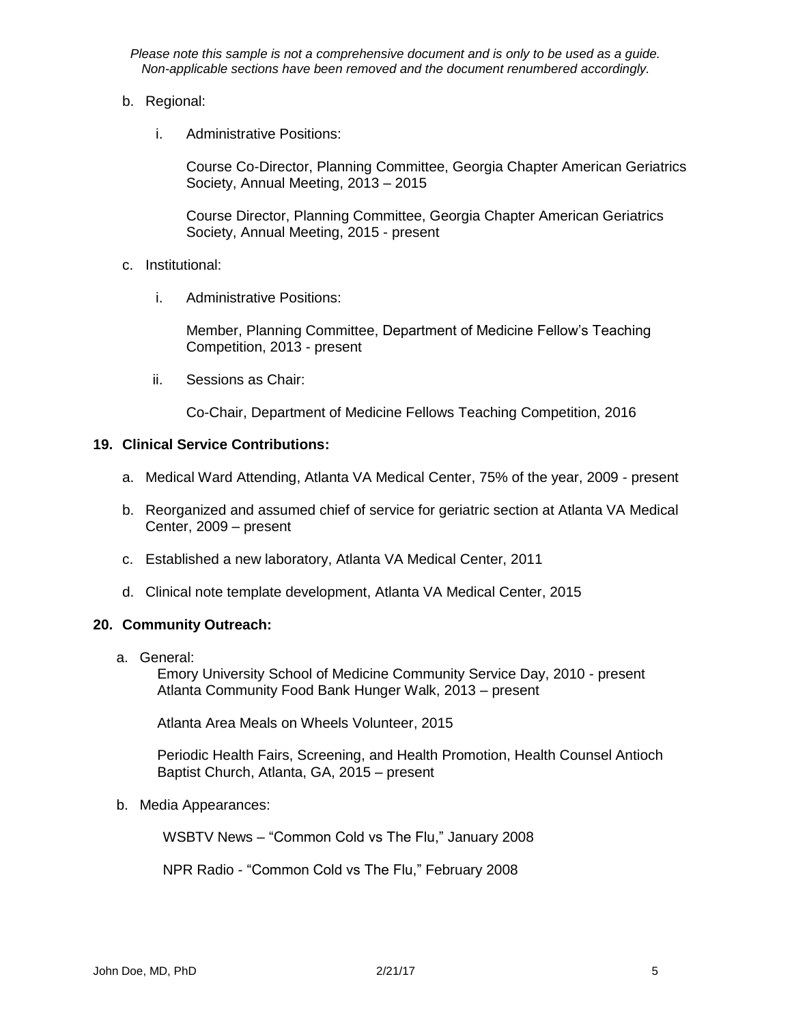- b. Regional:
	- i. Administrative Positions:

Course Co-Director, Planning Committee, Georgia Chapter American Geriatrics Society, Annual Meeting, 2013 – 2015

Course Director, Planning Committee, Georgia Chapter American Geriatrics Society, Annual Meeting, 2015 - present

- c. Institutional:
	- i. Administrative Positions:

Member, Planning Committee, Department of Medicine Fellow's Teaching Competition, 2013 - present

ii. Sessions as Chair:

Co-Chair, Department of Medicine Fellows Teaching Competition, 2016

### **19. Clinical Service Contributions:**

- a. Medical Ward Attending, Atlanta VA Medical Center, 75% of the year, 2009 present
- b. Reorganized and assumed chief of service for geriatric section at Atlanta VA Medical Center, 2009 – present
- c. Established a new laboratory, Atlanta VA Medical Center, 2011
- d. Clinical note template development, Atlanta VA Medical Center, 2015

### **20. Community Outreach:**

a. General:

Emory University School of Medicine Community Service Day, 2010 - present Atlanta Community Food Bank Hunger Walk, 2013 – present

Atlanta Area Meals on Wheels Volunteer, 2015

Periodic Health Fairs, Screening, and Health Promotion, Health Counsel Antioch Baptist Church, Atlanta, GA, 2015 – present

### b. Media Appearances:

WSBTV News – "Common Cold vs The Flu," January 2008

NPR Radio - "Common Cold vs The Flu," February 2008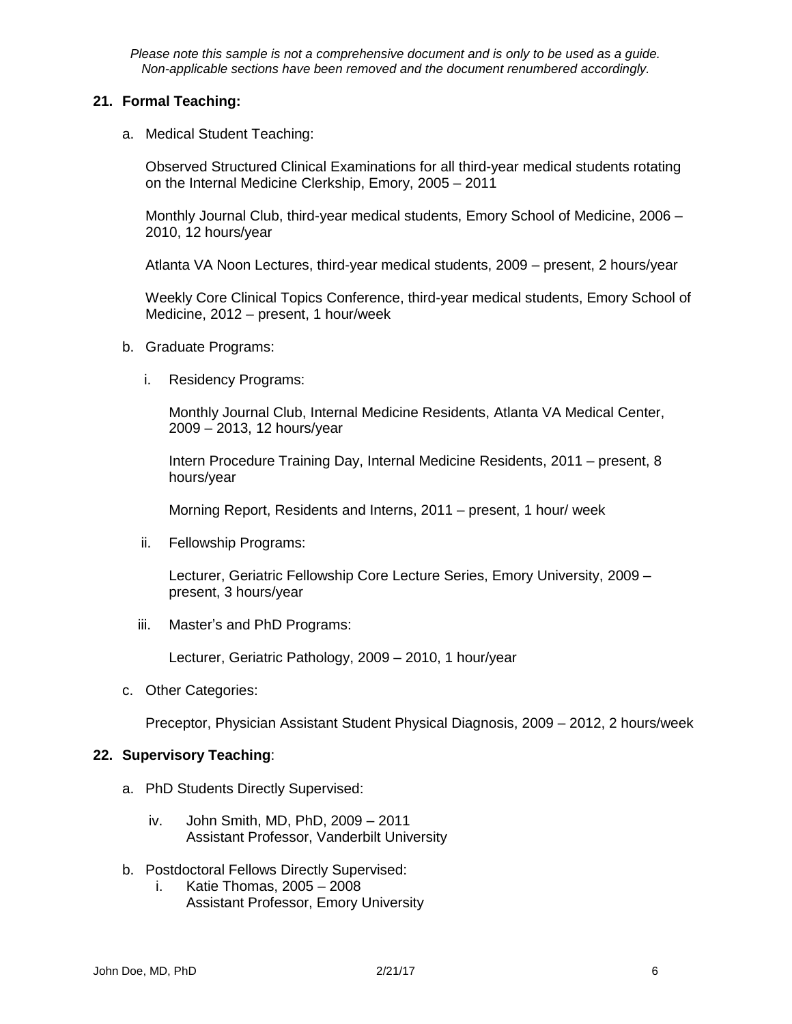# **21. Formal Teaching:**

a. Medical Student Teaching:

Observed Structured Clinical Examinations for all third-year medical students rotating on the Internal Medicine Clerkship, Emory, 2005 – 2011

Monthly Journal Club, third-year medical students, Emory School of Medicine, 2006 – 2010, 12 hours/year

Atlanta VA Noon Lectures, third-year medical students, 2009 – present, 2 hours/year

Weekly Core Clinical Topics Conference, third-year medical students, Emory School of Medicine, 2012 – present, 1 hour/week

- b. Graduate Programs:
	- i. Residency Programs:

Monthly Journal Club, Internal Medicine Residents, Atlanta VA Medical Center, 2009 – 2013, 12 hours/year

Intern Procedure Training Day, Internal Medicine Residents, 2011 – present, 8 hours/year

Morning Report, Residents and Interns, 2011 – present, 1 hour/ week

ii. Fellowship Programs:

Lecturer, Geriatric Fellowship Core Lecture Series, Emory University, 2009 – present, 3 hours/year

iii. Master's and PhD Programs:

Lecturer, Geriatric Pathology, 2009 – 2010, 1 hour/year

c. Other Categories:

Preceptor, Physician Assistant Student Physical Diagnosis, 2009 – 2012, 2 hours/week

## **22. Supervisory Teaching**:

- a. PhD Students Directly Supervised:
	- iv. John Smith, MD, PhD, 2009 2011 Assistant Professor, Vanderbilt University
- b. Postdoctoral Fellows Directly Supervised:
	- i. Katie Thomas, 2005 2008 Assistant Professor, Emory University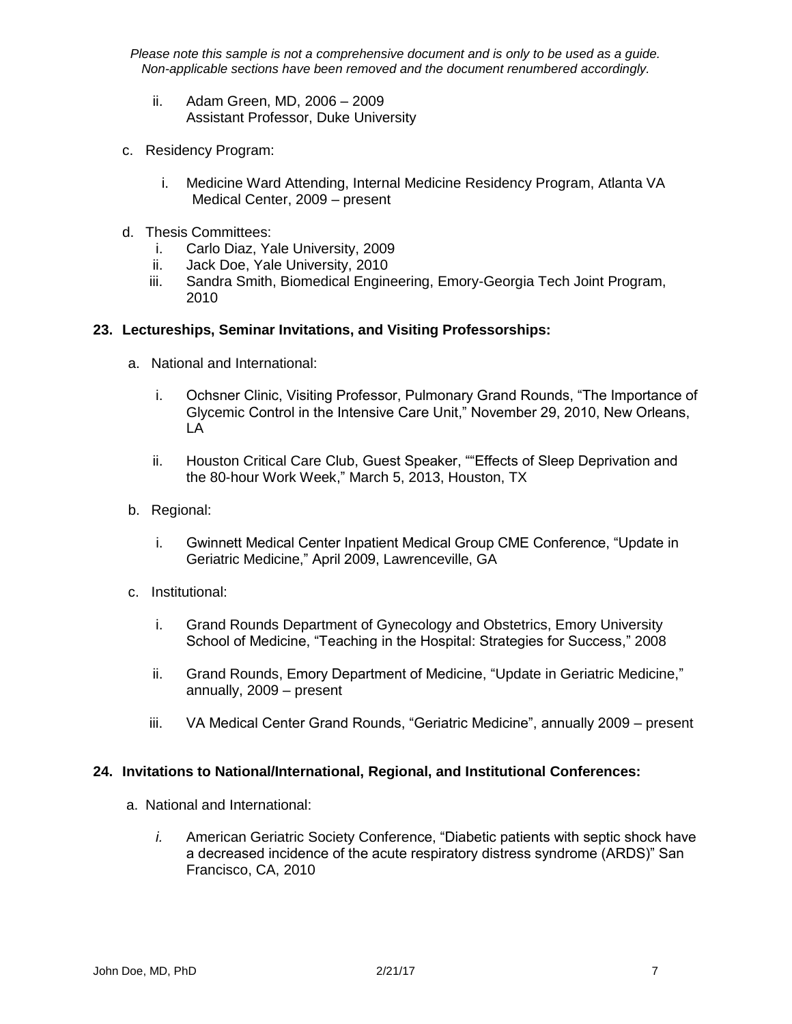- ii. Adam Green, MD, 2006 2009 Assistant Professor, Duke University
- c. Residency Program:
	- i. Medicine Ward Attending, Internal Medicine Residency Program, Atlanta VA Medical Center, 2009 – present
- d. Thesis Committees:
	- i. Carlo Diaz, Yale University, 2009
	- ii. Jack Doe, Yale University, 2010
	- iii. Sandra Smith, Biomedical Engineering, Emory-Georgia Tech Joint Program, 2010

# **23. Lectureships, Seminar Invitations, and Visiting Professorships:**

- a. National and International:
	- i. Ochsner Clinic, Visiting Professor, Pulmonary Grand Rounds, "The Importance of Glycemic Control in the Intensive Care Unit," November 29, 2010, New Orleans, LA
	- ii. Houston Critical Care Club, Guest Speaker, ""Effects of Sleep Deprivation and the 80-hour Work Week," March 5, 2013, Houston, TX
- b. Regional:
	- i. Gwinnett Medical Center Inpatient Medical Group CME Conference, "Update in Geriatric Medicine," April 2009, Lawrenceville, GA
- c. Institutional:
	- i. Grand Rounds Department of Gynecology and Obstetrics, Emory University School of Medicine, "Teaching in the Hospital: Strategies for Success," 2008
	- ii. Grand Rounds, Emory Department of Medicine, "Update in Geriatric Medicine," annually, 2009 – present
	- iii. VA Medical Center Grand Rounds, "Geriatric Medicine", annually 2009 present

### **24. Invitations to National/International, Regional, and Institutional Conferences:**

- a. National and International:
	- *i.* American Geriatric Society Conference, "Diabetic patients with septic shock have a decreased incidence of the acute respiratory distress syndrome (ARDS)" San Francisco, CA, 2010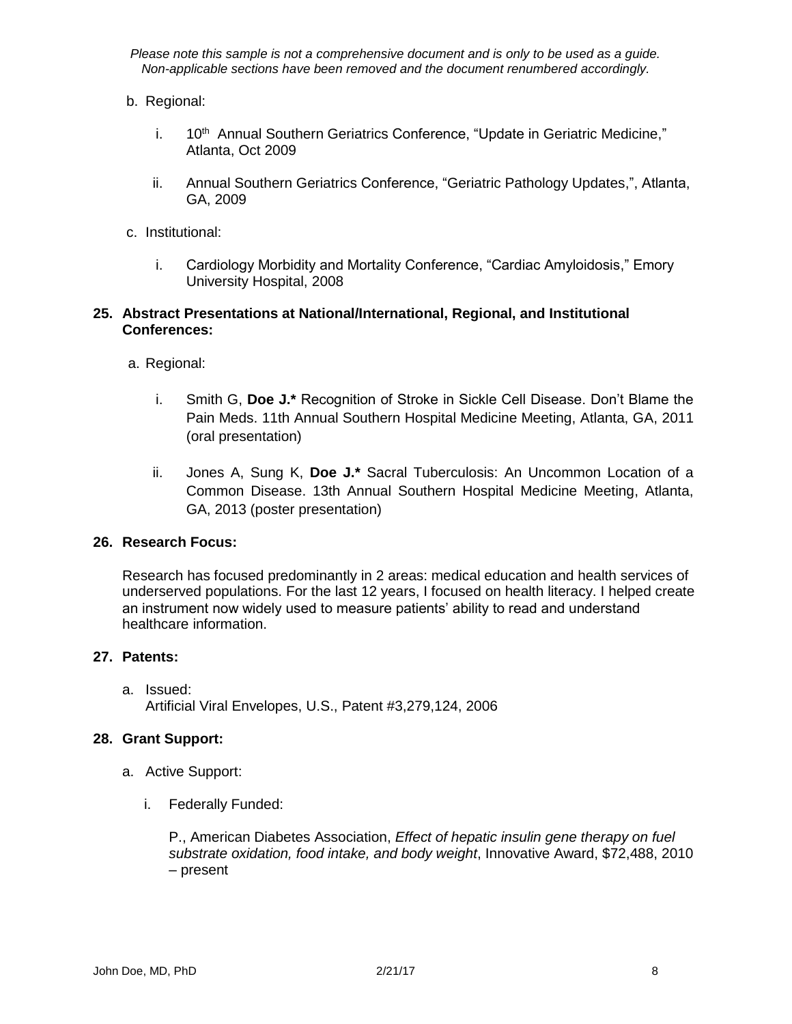- b. Regional:
	- i. 10<sup>th</sup> Annual Southern Geriatrics Conference, "Update in Geriatric Medicine," Atlanta, Oct 2009
	- ii. Annual Southern Geriatrics Conference, "Geriatric Pathology Updates,", Atlanta, GA, 2009
- c. Institutional:
	- i. Cardiology Morbidity and Mortality Conference, "Cardiac Amyloidosis," Emory University Hospital, 2008

# **25. Abstract Presentations at National/International, Regional, and Institutional Conferences:**

- a. Regional:
	- i. Smith G, **Doe J.\*** Recognition of Stroke in Sickle Cell Disease. Don't Blame the Pain Meds. 11th Annual Southern Hospital Medicine Meeting, Atlanta, GA, 2011 (oral presentation)
	- ii. Jones A, Sung K, **Doe J.\*** Sacral Tuberculosis: An Uncommon Location of a Common Disease. 13th Annual Southern Hospital Medicine Meeting, Atlanta, GA, 2013 (poster presentation)

### **26. Research Focus:**

Research has focused predominantly in 2 areas: medical education and health services of underserved populations. For the last 12 years, I focused on health literacy. I helped create an instrument now widely used to measure patients' ability to read and understand healthcare information.

### **27. Patents:**

a. Issued: Artificial Viral Envelopes, U.S., Patent #3,279,124, 2006

### **28. Grant Support:**

- a. Active Support:
	- i. Federally Funded:

P., American Diabetes Association, *Effect of hepatic insulin gene therapy on fuel substrate oxidation, food intake, and body weight*, Innovative Award, \$72,488, 2010 – present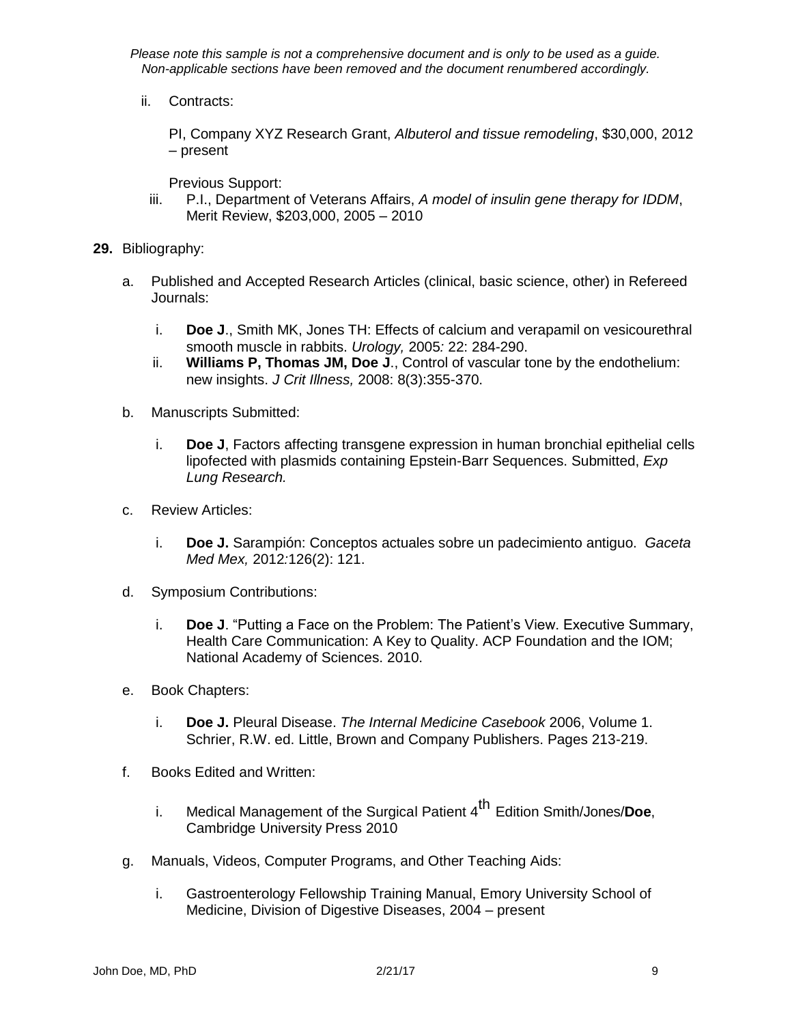ii. Contracts:

PI, Company XYZ Research Grant, *Albuterol and tissue remodeling*, \$30,000, 2012 – present

Previous Support:

- iii. P.I., Department of Veterans Affairs, *A model of insulin gene therapy for IDDM*, Merit Review, \$203,000, 2005 – 2010
- **29.** Bibliography:
	- a. Published and Accepted Research Articles (clinical, basic science, other) in Refereed Journals:
		- i. **Doe J**., Smith MK, Jones TH: Effects of calcium and verapamil on vesicourethral smooth muscle in rabbits. *Urology,* 2005*:* 22: 284-290.
		- ii. **Williams P, Thomas JM, Doe J**., Control of vascular tone by the endothelium: new insights. *J Crit Illness,* 2008: 8(3):355-370.
	- b. Manuscripts Submitted:
		- i. **Doe J**, Factors affecting transgene expression in human bronchial epithelial cells lipofected with plasmids containing Epstein-Barr Sequences. Submitted, *Exp Lung Research.*
	- c. Review Articles:
		- i. **Doe J.** Sarampión: Conceptos actuales sobre un padecimiento antiguo. *Gaceta Med Mex,* 2012*:*126(2): 121.
	- d. Symposium Contributions:
		- i. **Doe J**. "Putting a Face on the Problem: The Patient's View. Executive Summary, Health Care Communication: A Key to Quality. ACP Foundation and the IOM; National Academy of Sciences. 2010.
	- e. Book Chapters:
		- i. **Doe J.** Pleural Disease. *The Internal Medicine Casebook* 2006, Volume 1. Schrier, R.W. ed. Little, Brown and Company Publishers. Pages 213-219.
	- f. Books Edited and Written:
		- i. Medical Management of the Surgical Patient 4 th Edition Smith/Jones/**Doe**, Cambridge University Press 2010
	- g. Manuals, Videos, Computer Programs, and Other Teaching Aids:
		- i. Gastroenterology Fellowship Training Manual, Emory University School of Medicine, Division of Digestive Diseases, 2004 – present